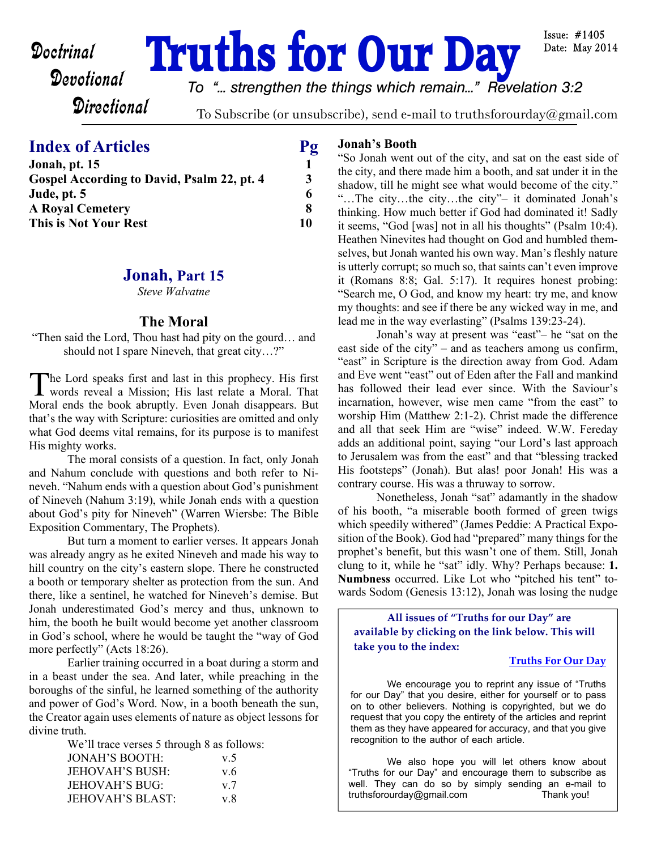# **Doctrinal Truths for Our Day**

Issue:  $\#1405$ Date: May 2014

*To "... strengthen the things which remain..." Revelation 3:2*

**Directional** 

To Subscribe (or unsubscribe), send e-mail to truthsforourday@gmail.com

# **Index of Articles** Pg

| 3  |
|----|
| 6  |
| 8  |
| 10 |
|    |

# **Jonah, Part 15**

*Steve Walvatne*

# **The Moral**

"Then said the Lord, Thou hast had pity on the gourd… and should not I spare Nineveh, that great city…?"

The Lord speaks first and last in this prophecy. His first<br>words reveal a Mission; His last relate a Moral. That he Lord speaks first and last in this prophecy. His first Moral ends the book abruptly. Even Jonah disappears. But that's the way with Scripture: curiosities are omitted and only what God deems vital remains, for its purpose is to manifest His mighty works.

The moral consists of a question. In fact, only Jonah and Nahum conclude with questions and both refer to Nineveh. "Nahum ends with a question about God's punishment of Nineveh (Nahum 3:19), while Jonah ends with a question about God's pity for Nineveh" (Warren Wiersbe: The Bible Exposition Commentary, The Prophets).

But turn a moment to earlier verses. It appears Jonah was already angry as he exited Nineveh and made his way to hill country on the city's eastern slope. There he constructed a booth or temporary shelter as protection from the sun. And there, like a sentinel, he watched for Nineveh's demise. But Jonah underestimated God's mercy and thus, unknown to him, the booth he built would become yet another classroom in God's school, where he would be taught the "way of God more perfectly" (Acts 18:26).

Earlier training occurred in a boat during a storm and in a beast under the sea. And later, while preaching in the boroughs of the sinful, he learned something of the authority and power of God's Word. Now, in a booth beneath the sun, the Creator again uses elements of nature as object lessons for divine truth.

We'll trace verses 5 through 8 as follows: JONAH'S BOOTH: v.5 JEHOVAH'S BUSH: v.6 JEHOVAH'S BUG: v.7 JEHOVAH'S BLAST: v.8

# **Jonah's Booth**

"So Jonah went out of the city, and sat on the east side of the city, and there made him a booth, and sat under it in the shadow, till he might see what would become of the city." "…The city…the city…the city"– it dominated Jonah's thinking. How much better if God had dominated it! Sadly it seems, "God [was] not in all his thoughts" (Psalm 10:4). Heathen Ninevites had thought on God and humbled themselves, but Jonah wanted his own way. Man's fleshly nature is utterly corrupt; so much so, that saints can't even improve it (Romans 8:8; Gal. 5:17). It requires honest probing: "Search me, O God, and know my heart: try me, and know my thoughts: and see if there be any wicked way in me, and lead me in the way everlasting" (Psalms 139:23-24).

 Jonah's way at present was "east"– he "sat on the east side of the city" – and as teachers among us confirm, "east" in Scripture is the direction away from God. Adam and Eve went "east" out of Eden after the Fall and mankind has followed their lead ever since. With the Saviour's incarnation, however, wise men came "from the east" to worship Him (Matthew 2:1-2). Christ made the difference and all that seek Him are "wise" indeed. W.W. Fereday adds an additional point, saying "our Lord's last approach to Jerusalem was from the east" and that "blessing tracked His footsteps" (Jonah). But alas! poor Jonah! His was a contrary course. His was a thruway to sorrow.

Nonetheless, Jonah "sat" adamantly in the shadow of his booth, "a miserable booth formed of green twigs which speedily withered" (James Peddie: A Practical Exposition of the Book). God had "prepared" many things for the prophet's benefit, but this wasn't one of them. Still, Jonah clung to it, while he "sat" idly. Why? Perhaps because: **1. Numbness** occurred. Like Lot who "pitched his tent" towards Sodom (Genesis 13:12), Jonah was losing the nudge

**All issues of "Truths for our Day" are available by clicking on the link below. This will take you to the index:**

# **[Truths For Our Day](http://truthsforourday.com)**

 We encourage you to reprint any issue of "Truths for our Day" that you desire, either for yourself or to pass on to other believers. Nothing is copyrighted, but we do request that you copy the entirety of the articles and reprint them as they have appeared for accuracy, and that you give recognition to the author of each article.

 We also hope you will let others know about "Truths for our Day" and encourage them to subscribe as well. They can do so by simply sending an e-mail to truthsforourday@gmail.com Thank you!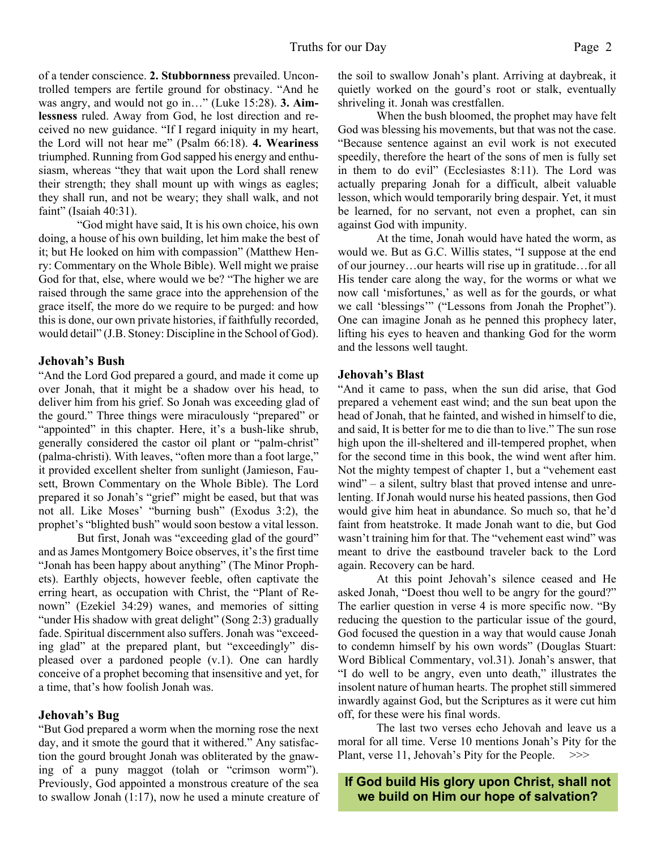of a tender conscience. **2. Stubbornness** prevailed. Uncontrolled tempers are fertile ground for obstinacy. "And he was angry, and would not go in…" (Luke 15:28). **3. Aimlessness** ruled. Away from God, he lost direction and received no new guidance. "If I regard iniquity in my heart, the Lord will not hear me" (Psalm 66:18). **4. Weariness** triumphed. Running from God sapped his energy and enthusiasm, whereas "they that wait upon the Lord shall renew their strength; they shall mount up with wings as eagles; they shall run, and not be weary; they shall walk, and not faint" (Isaiah 40:31).

"God might have said, It is his own choice, his own doing, a house of his own building, let him make the best of it; but He looked on him with compassion" (Matthew Henry: Commentary on the Whole Bible). Well might we praise God for that, else, where would we be? "The higher we are raised through the same grace into the apprehension of the grace itself, the more do we require to be purged: and how this is done, our own private histories, if faithfully recorded, would detail" (J.B. Stoney: Discipline in the School of God).

#### **Jehovah's Bush**

"And the Lord God prepared a gourd, and made it come up over Jonah, that it might be a shadow over his head, to deliver him from his grief. So Jonah was exceeding glad of the gourd." Three things were miraculously "prepared" or "appointed" in this chapter. Here, it's a bush-like shrub, generally considered the castor oil plant or "palm-christ" (palma-christi). With leaves, "often more than a foot large," it provided excellent shelter from sunlight (Jamieson, Fausett, Brown Commentary on the Whole Bible). The Lord prepared it so Jonah's "grief" might be eased, but that was not all. Like Moses' "burning bush" (Exodus 3:2), the prophet's "blighted bush" would soon bestow a vital lesson.

But first, Jonah was "exceeding glad of the gourd" and as James Montgomery Boice observes, it's the first time "Jonah has been happy about anything" (The Minor Prophets). Earthly objects, however feeble, often captivate the erring heart, as occupation with Christ, the "Plant of Renown" (Ezekiel 34:29) wanes, and memories of sitting "under His shadow with great delight" (Song 2:3) gradually fade. Spiritual discernment also suffers. Jonah was "exceeding glad" at the prepared plant, but "exceedingly" displeased over a pardoned people (v.1). One can hardly conceive of a prophet becoming that insensitive and yet, for a time, that's how foolish Jonah was.

#### **Jehovah's Bug**

"But God prepared a worm when the morning rose the next day, and it smote the gourd that it withered." Any satisfaction the gourd brought Jonah was obliterated by the gnawing of a puny maggot (tolah or "crimson worm"). Previously, God appointed a monstrous creature of the sea to swallow Jonah (1:17), now he used a minute creature of the soil to swallow Jonah's plant. Arriving at daybreak, it quietly worked on the gourd's root or stalk, eventually shriveling it. Jonah was crestfallen.

 When the bush bloomed, the prophet may have felt God was blessing his movements, but that was not the case. "Because sentence against an evil work is not executed speedily, therefore the heart of the sons of men is fully set in them to do evil" (Ecclesiastes 8:11). The Lord was actually preparing Jonah for a difficult, albeit valuable lesson, which would temporarily bring despair. Yet, it must be learned, for no servant, not even a prophet, can sin against God with impunity.

At the time, Jonah would have hated the worm, as would we. But as G.C. Willis states, "I suppose at the end of our journey…our hearts will rise up in gratitude…for all His tender care along the way, for the worms or what we now call 'misfortunes,' as well as for the gourds, or what we call 'blessings'" ("Lessons from Jonah the Prophet"). One can imagine Jonah as he penned this prophecy later, lifting his eyes to heaven and thanking God for the worm and the lessons well taught.

# **Jehovah's Blast**

"And it came to pass, when the sun did arise, that God prepared a vehement east wind; and the sun beat upon the head of Jonah, that he fainted, and wished in himself to die, and said, It is better for me to die than to live." The sun rose high upon the ill-sheltered and ill-tempered prophet, when for the second time in this book, the wind went after him. Not the mighty tempest of chapter 1, but a "vehement east wind" – a silent, sultry blast that proved intense and unrelenting. If Jonah would nurse his heated passions, then God would give him heat in abundance. So much so, that he'd faint from heatstroke. It made Jonah want to die, but God wasn't training him for that. The "vehement east wind" was meant to drive the eastbound traveler back to the Lord again. Recovery can be hard.

At this point Jehovah's silence ceased and He asked Jonah, "Doest thou well to be angry for the gourd?" The earlier question in verse 4 is more specific now. "By reducing the question to the particular issue of the gourd, God focused the question in a way that would cause Jonah to condemn himself by his own words" (Douglas Stuart: Word Biblical Commentary, vol.31). Jonah's answer, that "I do well to be angry, even unto death," illustrates the insolent nature of human hearts. The prophet still simmered inwardly against God, but the Scriptures as it were cut him off, for these were his final words.

 The last two verses echo Jehovah and leave us a moral for all time. Verse 10 mentions Jonah's Pity for the Plant, verse 11, Jehovah's Pity for the People.  $>>$ 

**If God build His glory upon Christ, shall not we build on Him our hope of salvation?**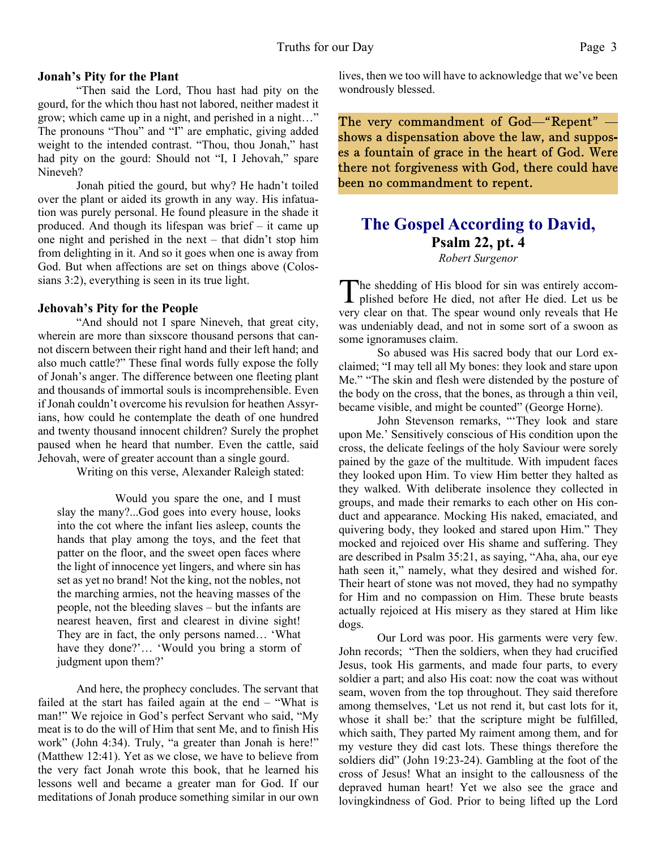# **Jonah's Pity for the Plant**

 "Then said the Lord, Thou hast had pity on the gourd, for the which thou hast not labored, neither madest it grow; which came up in a night, and perished in a night…" The pronouns "Thou" and "I" are emphatic, giving added weight to the intended contrast. "Thou, thou Jonah," hast had pity on the gourd: Should not "I, I Jehovah," spare Nineveh?

 Jonah pitied the gourd, but why? He hadn't toiled over the plant or aided its growth in any way. His infatuation was purely personal. He found pleasure in the shade it produced. And though its lifespan was brief – it came up one night and perished in the next – that didn't stop him from delighting in it. And so it goes when one is away from God. But when affections are set on things above (Colossians 3:2), everything is seen in its true light.

# **Jehovah's Pity for the People**

 "And should not I spare Nineveh, that great city, wherein are more than sixscore thousand persons that cannot discern between their right hand and their left hand; and also much cattle?" These final words fully expose the folly of Jonah's anger. The difference between one fleeting plant and thousands of immortal souls is incomprehensible. Even if Jonah couldn't overcome his revulsion for heathen Assyrians, how could he contemplate the death of one hundred and twenty thousand innocent children? Surely the prophet paused when he heard that number. Even the cattle, said Jehovah, were of greater account than a single gourd.

Writing on this verse, Alexander Raleigh stated:

 Would you spare the one, and I must slay the many?...God goes into every house, looks into the cot where the infant lies asleep, counts the hands that play among the toys, and the feet that patter on the floor, and the sweet open faces where the light of innocence yet lingers, and where sin has set as yet no brand! Not the king, not the nobles, not the marching armies, not the heaving masses of the people, not the bleeding slaves – but the infants are nearest heaven, first and clearest in divine sight! They are in fact, the only persons named… 'What have they done?'… 'Would you bring a storm of judgment upon them?'

 And here, the prophecy concludes. The servant that failed at the start has failed again at the end – "What is man!" We rejoice in God's perfect Servant who said, "My meat is to do the will of Him that sent Me, and to finish His work" (John 4:34). Truly, "a greater than Jonah is here!" (Matthew 12:41). Yet as we close, we have to believe from the very fact Jonah wrote this book, that he learned his lessons well and became a greater man for God. If our meditations of Jonah produce something similar in our own lives, then we too will have to acknowledge that we've been wondrously blessed.

The very commandment of God-"Repent" shows a dispensation above the law, and supposes a fountain of grace in the heart of God. Were there not forgiveness with God, there could have been no commandment to repent.

# **The Gospel According to David, Psalm 22, pt. 4** *Robert Surgenor*

The shedding of His blood for sin was entirely accomplished before He died, not after He died. Let us be he shedding of His blood for sin was entirely accomvery clear on that. The spear wound only reveals that He was undeniably dead, and not in some sort of a swoon as some ignoramuses claim.

 So abused was His sacred body that our Lord exclaimed; "I may tell all My bones: they look and stare upon Me." "The skin and flesh were distended by the posture of the body on the cross, that the bones, as through a thin veil, became visible, and might be counted" (George Horne).

 John Stevenson remarks, "'They look and stare upon Me.' Sensitively conscious of His condition upon the cross, the delicate feelings of the holy Saviour were sorely pained by the gaze of the multitude. With impudent faces they looked upon Him. To view Him better they halted as they walked. With deliberate insolence they collected in groups, and made their remarks to each other on His conduct and appearance. Mocking His naked, emaciated, and quivering body, they looked and stared upon Him." They mocked and rejoiced over His shame and suffering. They are described in Psalm 35:21, as saying, "Aha, aha, our eye hath seen it," namely, what they desired and wished for. Their heart of stone was not moved, they had no sympathy for Him and no compassion on Him. These brute beasts actually rejoiced at His misery as they stared at Him like dogs.

 Our Lord was poor. His garments were very few. John records; "Then the soldiers, when they had crucified Jesus, took His garments, and made four parts, to every soldier a part; and also His coat: now the coat was without seam, woven from the top throughout. They said therefore among themselves, 'Let us not rend it, but cast lots for it, whose it shall be:' that the scripture might be fulfilled, which saith, They parted My raiment among them, and for my vesture they did cast lots. These things therefore the soldiers did" (John 19:23-24). Gambling at the foot of the cross of Jesus! What an insight to the callousness of the depraved human heart! Yet we also see the grace and lovingkindness of God. Prior to being lifted up the Lord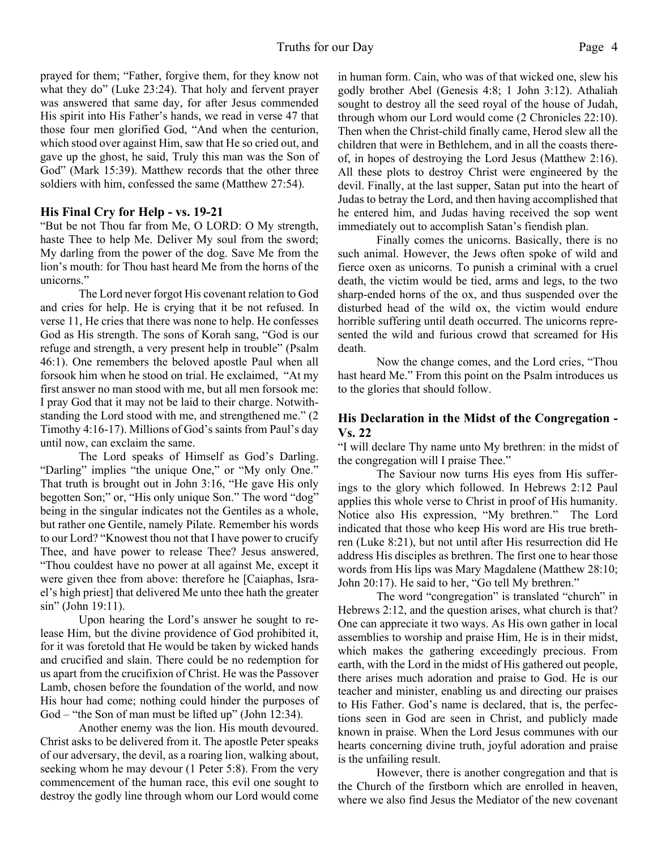prayed for them; "Father, forgive them, for they know not what they do" (Luke 23:24). That holy and fervent prayer was answered that same day, for after Jesus commended His spirit into His Father's hands, we read in verse 47 that those four men glorified God, "And when the centurion, which stood over against Him, saw that He so cried out, and gave up the ghost, he said, Truly this man was the Son of God" (Mark 15:39). Matthew records that the other three soldiers with him, confessed the same (Matthew 27:54).

# **His Final Cry for Help - vs. 19-21**

"But be not Thou far from Me, O LORD: O My strength, haste Thee to help Me. Deliver My soul from the sword; My darling from the power of the dog. Save Me from the lion's mouth: for Thou hast heard Me from the horns of the unicorns."

 The Lord never forgot His covenant relation to God and cries for help. He is crying that it be not refused. In verse 11, He cries that there was none to help. He confesses God as His strength. The sons of Korah sang, "God is our refuge and strength, a very present help in trouble" (Psalm 46:1). One remembers the beloved apostle Paul when all forsook him when he stood on trial. He exclaimed, "At my first answer no man stood with me, but all men forsook me: I pray God that it may not be laid to their charge. Notwithstanding the Lord stood with me, and strengthened me." (2 Timothy 4:16-17). Millions of God's saints from Paul's day until now, can exclaim the same.

 The Lord speaks of Himself as God's Darling. "Darling" implies "the unique One," or "My only One." That truth is brought out in John 3:16, "He gave His only begotten Son;" or, "His only unique Son." The word "dog" being in the singular indicates not the Gentiles as a whole, but rather one Gentile, namely Pilate. Remember his words to our Lord? "Knowest thou not that I have power to crucify Thee, and have power to release Thee? Jesus answered, "Thou couldest have no power at all against Me, except it were given thee from above: therefore he [Caiaphas, Israel's high priest] that delivered Me unto thee hath the greater sin" (John 19:11).

 Upon hearing the Lord's answer he sought to release Him, but the divine providence of God prohibited it, for it was foretold that He would be taken by wicked hands and crucified and slain. There could be no redemption for us apart from the crucifixion of Christ. He was the Passover Lamb, chosen before the foundation of the world, and now His hour had come; nothing could hinder the purposes of God – "the Son of man must be lifted up" (John 12:34).

 Another enemy was the lion. His mouth devoured. Christ asks to be delivered from it. The apostle Peter speaks of our adversary, the devil, as a roaring lion, walking about, seeking whom he may devour (1 Peter 5:8). From the very commencement of the human race, this evil one sought to destroy the godly line through whom our Lord would come in human form. Cain, who was of that wicked one, slew his godly brother Abel (Genesis 4:8; 1 John 3:12). Athaliah sought to destroy all the seed royal of the house of Judah, through whom our Lord would come (2 Chronicles 22:10). Then when the Christ-child finally came, Herod slew all the children that were in Bethlehem, and in all the coasts thereof, in hopes of destroying the Lord Jesus (Matthew 2:16). All these plots to destroy Christ were engineered by the devil. Finally, at the last supper, Satan put into the heart of Judas to betray the Lord, and then having accomplished that he entered him, and Judas having received the sop went immediately out to accomplish Satan's fiendish plan.

 Finally comes the unicorns. Basically, there is no such animal. However, the Jews often spoke of wild and fierce oxen as unicorns. To punish a criminal with a cruel death, the victim would be tied, arms and legs, to the two sharp-ended horns of the ox, and thus suspended over the disturbed head of the wild ox, the victim would endure horrible suffering until death occurred. The unicorns represented the wild and furious crowd that screamed for His death.

 Now the change comes, and the Lord cries, "Thou hast heard Me." From this point on the Psalm introduces us to the glories that should follow.

# **His Declaration in the Midst of the Congregation - Vs. 22**

"I will declare Thy name unto My brethren: in the midst of the congregation will I praise Thee."

 The Saviour now turns His eyes from His sufferings to the glory which followed. In Hebrews 2:12 Paul applies this whole verse to Christ in proof of His humanity. Notice also His expression, "My brethren." The Lord indicated that those who keep His word are His true brethren (Luke 8:21), but not until after His resurrection did He address His disciples as brethren. The first one to hear those words from His lips was Mary Magdalene (Matthew 28:10; John 20:17). He said to her, "Go tell My brethren."

The word "congregation" is translated "church" in Hebrews 2:12, and the question arises, what church is that? One can appreciate it two ways. As His own gather in local assemblies to worship and praise Him, He is in their midst, which makes the gathering exceedingly precious. From earth, with the Lord in the midst of His gathered out people, there arises much adoration and praise to God. He is our teacher and minister, enabling us and directing our praises to His Father. God's name is declared, that is, the perfections seen in God are seen in Christ, and publicly made known in praise. When the Lord Jesus communes with our hearts concerning divine truth, joyful adoration and praise is the unfailing result.

 However, there is another congregation and that is the Church of the firstborn which are enrolled in heaven, where we also find Jesus the Mediator of the new covenant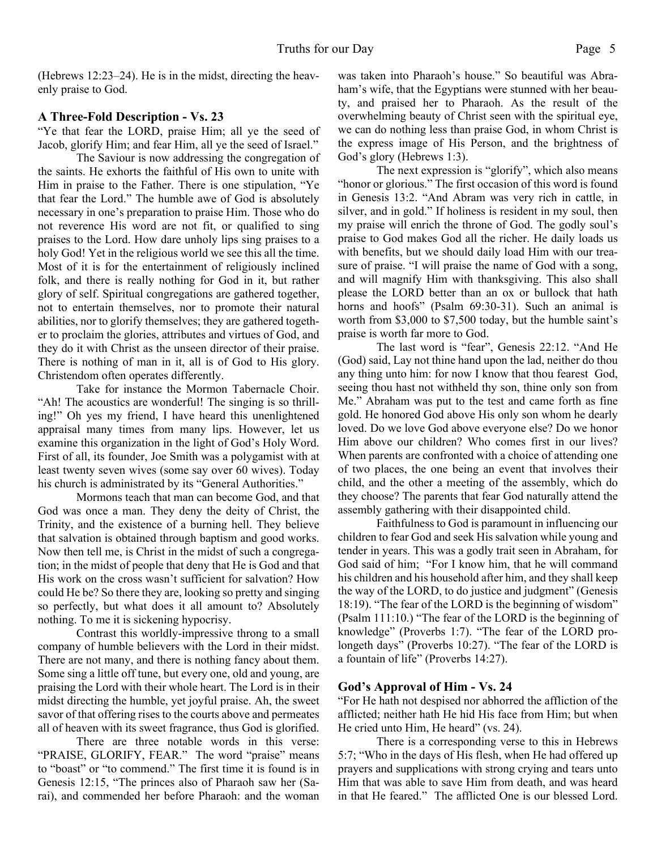(Hebrews 12:23–24). He is in the midst, directing the heavenly praise to God.

# **A Three-Fold Description - Vs. 23**

"Ye that fear the LORD, praise Him; all ye the seed of Jacob, glorify Him; and fear Him, all ye the seed of Israel."

 The Saviour is now addressing the congregation of the saints. He exhorts the faithful of His own to unite with Him in praise to the Father. There is one stipulation, "Ye that fear the Lord." The humble awe of God is absolutely necessary in one's preparation to praise Him. Those who do not reverence His word are not fit, or qualified to sing praises to the Lord. How dare unholy lips sing praises to a holy God! Yet in the religious world we see this all the time. Most of it is for the entertainment of religiously inclined folk, and there is really nothing for God in it, but rather glory of self. Spiritual congregations are gathered together, not to entertain themselves, nor to promote their natural abilities, nor to glorify themselves; they are gathered together to proclaim the glories, attributes and virtues of God, and they do it with Christ as the unseen director of their praise. There is nothing of man in it, all is of God to His glory. Christendom often operates differently.

 Take for instance the Mormon Tabernacle Choir. "Ah! The acoustics are wonderful! The singing is so thrilling!" Oh yes my friend, I have heard this unenlightened appraisal many times from many lips. However, let us examine this organization in the light of God's Holy Word. First of all, its founder, Joe Smith was a polygamist with at least twenty seven wives (some say over 60 wives). Today his church is administrated by its "General Authorities."

 Mormons teach that man can become God, and that God was once a man. They deny the deity of Christ, the Trinity, and the existence of a burning hell. They believe that salvation is obtained through baptism and good works. Now then tell me, is Christ in the midst of such a congregation; in the midst of people that deny that He is God and that His work on the cross wasn't sufficient for salvation? How could He be? So there they are, looking so pretty and singing so perfectly, but what does it all amount to? Absolutely nothing. To me it is sickening hypocrisy.

 Contrast this worldly-impressive throng to a small company of humble believers with the Lord in their midst. There are not many, and there is nothing fancy about them. Some sing a little off tune, but every one, old and young, are praising the Lord with their whole heart. The Lord is in their midst directing the humble, yet joyful praise. Ah, the sweet savor of that offering rises to the courts above and permeates all of heaven with its sweet fragrance, thus God is glorified.

 There are three notable words in this verse: "PRAISE, GLORIFY, FEAR." The word "praise" means to "boast" or "to commend." The first time it is found is in Genesis 12:15, "The princes also of Pharaoh saw her (Sarai), and commended her before Pharaoh: and the woman was taken into Pharaoh's house." So beautiful was Abraham's wife, that the Egyptians were stunned with her beauty, and praised her to Pharaoh. As the result of the overwhelming beauty of Christ seen with the spiritual eye, we can do nothing less than praise God, in whom Christ is the express image of His Person, and the brightness of God's glory (Hebrews 1:3).

 The next expression is "glorify", which also means "honor or glorious." The first occasion of this word is found in Genesis 13:2. "And Abram was very rich in cattle, in silver, and in gold." If holiness is resident in my soul, then my praise will enrich the throne of God. The godly soul's praise to God makes God all the richer. He daily loads us with benefits, but we should daily load Him with our treasure of praise. "I will praise the name of God with a song, and will magnify Him with thanksgiving. This also shall please the LORD better than an ox or bullock that hath horns and hoofs" (Psalm 69:30-31). Such an animal is worth from \$3,000 to \$7,500 today, but the humble saint's praise is worth far more to God.

 The last word is "fear", Genesis 22:12. "And He (God) said, Lay not thine hand upon the lad, neither do thou any thing unto him: for now I know that thou fearest God, seeing thou hast not withheld thy son, thine only son from Me." Abraham was put to the test and came forth as fine gold. He honored God above His only son whom he dearly loved. Do we love God above everyone else? Do we honor Him above our children? Who comes first in our lives? When parents are confronted with a choice of attending one of two places, the one being an event that involves their child, and the other a meeting of the assembly, which do they choose? The parents that fear God naturally attend the assembly gathering with their disappointed child.

 Faithfulness to God is paramount in influencing our children to fear God and seek His salvation while young and tender in years. This was a godly trait seen in Abraham, for God said of him; "For I know him, that he will command his children and his household after him, and they shall keep the way of the LORD, to do justice and judgment" (Genesis 18:19). "The fear of the LORD is the beginning of wisdom" (Psalm 111:10.) "The fear of the LORD is the beginning of knowledge" (Proverbs 1:7). "The fear of the LORD prolongeth days" (Proverbs 10:27). "The fear of the LORD is a fountain of life" (Proverbs 14:27).

# **God's Approval of Him - Vs. 24**

"For He hath not despised nor abhorred the affliction of the afflicted; neither hath He hid His face from Him; but when He cried unto Him, He heard" (vs. 24).

 There is a corresponding verse to this in Hebrews 5:7; "Who in the days of His flesh, when He had offered up prayers and supplications with strong crying and tears unto Him that was able to save Him from death, and was heard in that He feared." The afflicted One is our blessed Lord.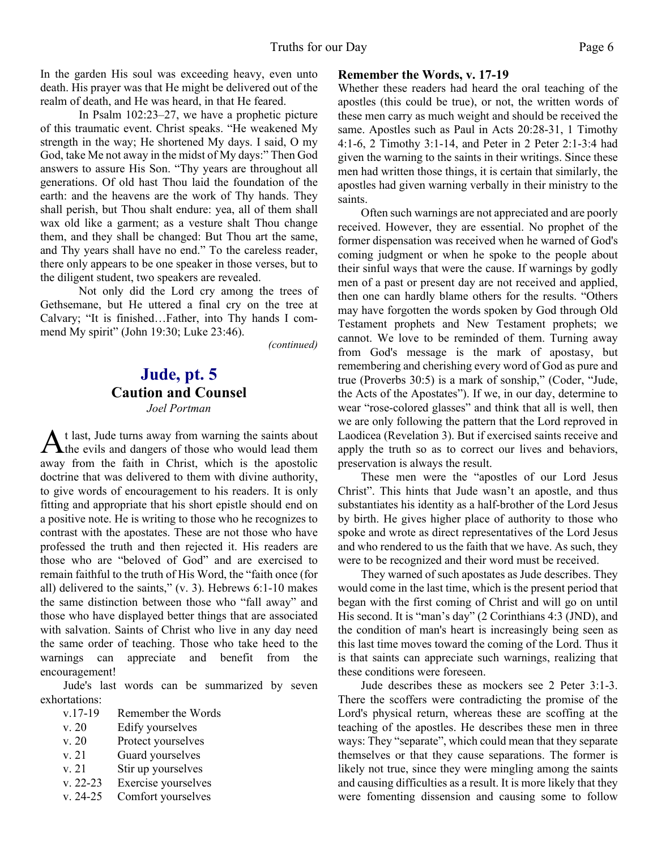In the garden His soul was exceeding heavy, even unto death. His prayer was that He might be delivered out of the realm of death, and He was heard, in that He feared.

 In Psalm 102:23–27, we have a prophetic picture of this traumatic event. Christ speaks. "He weakened My strength in the way; He shortened My days. I said, O my God, take Me not away in the midst of My days:" Then God answers to assure His Son. "Thy years are throughout all generations. Of old hast Thou laid the foundation of the earth: and the heavens are the work of Thy hands. They shall perish, but Thou shalt endure: yea, all of them shall wax old like a garment; as a vesture shalt Thou change them, and they shall be changed: But Thou art the same, and Thy years shall have no end." To the careless reader, there only appears to be one speaker in those verses, but to the diligent student, two speakers are revealed.

 Not only did the Lord cry among the trees of Gethsemane, but He uttered a final cry on the tree at Calvary; "It is finished…Father, into Thy hands I commend My spirit" (John 19:30; Luke 23:46).

*(continued)*

# **Jude, pt. 5 Caution and Counsel** *Joel Portman*

A t last, Jude turns away from warning the saints about<br>the evils and dangers of those who would lead them t last, Jude turns away from warning the saints about away from the faith in Christ, which is the apostolic doctrine that was delivered to them with divine authority, to give words of encouragement to his readers. It is only fitting and appropriate that his short epistle should end on a positive note. He is writing to those who he recognizes to contrast with the apostates. These are not those who have professed the truth and then rejected it. His readers are those who are "beloved of God" and are exercised to remain faithful to the truth of His Word, the "faith once (for all) delivered to the saints," (v. 3). Hebrews 6:1-10 makes the same distinction between those who "fall away" and those who have displayed better things that are associated with salvation. Saints of Christ who live in any day need the same order of teaching. Those who take heed to the warnings can appreciate and benefit from the encouragement!

Jude's last words can be summarized by seven exhortations:

- v. 20 Edify yourselves
- v. 20 Protect yourselves
- v. 21 Guard yourselves
- v. 21 Stir up yourselves
- v. 22-23 Exercise yourselves
- v. 24-25 Comfort yourselves

#### **Remember the Words, v. 17-19**

Whether these readers had heard the oral teaching of the apostles (this could be true), or not, the written words of these men carry as much weight and should be received the same. Apostles such as Paul in Acts 20:28-31, 1 Timothy 4:1-6, 2 Timothy 3:1-14, and Peter in 2 Peter 2:1-3:4 had given the warning to the saints in their writings. Since these men had written those things, it is certain that similarly, the apostles had given warning verbally in their ministry to the saints.

 Often such warnings are not appreciated and are poorly received. However, they are essential. No prophet of the former dispensation was received when he warned of God's coming judgment or when he spoke to the people about their sinful ways that were the cause. If warnings by godly men of a past or present day are not received and applied, then one can hardly blame others for the results. "Others may have forgotten the words spoken by God through Old Testament prophets and New Testament prophets; we cannot. We love to be reminded of them. Turning away from God's message is the mark of apostasy, but remembering and cherishing every word of God as pure and true (Proverbs 30:5) is a mark of sonship," (Coder, "Jude, the Acts of the Apostates"). If we, in our day, determine to wear "rose-colored glasses" and think that all is well, then we are only following the pattern that the Lord reproved in Laodicea (Revelation 3). But if exercised saints receive and apply the truth so as to correct our lives and behaviors, preservation is always the result.

 These men were the "apostles of our Lord Jesus Christ". This hints that Jude wasn't an apostle, and thus substantiates his identity as a half-brother of the Lord Jesus by birth. He gives higher place of authority to those who spoke and wrote as direct representatives of the Lord Jesus and who rendered to us the faith that we have. As such, they were to be recognized and their word must be received.

 They warned of such apostates as Jude describes. They would come in the last time, which is the present period that began with the first coming of Christ and will go on until His second. It is "man's day" (2 Corinthians 4:3 (JND), and the condition of man's heart is increasingly being seen as this last time moves toward the coming of the Lord. Thus it is that saints can appreciate such warnings, realizing that these conditions were foreseen.

 Jude describes these as mockers see 2 Peter 3:1-3. There the scoffers were contradicting the promise of the Lord's physical return, whereas these are scoffing at the teaching of the apostles. He describes these men in three ways: They "separate", which could mean that they separate themselves or that they cause separations. The former is likely not true, since they were mingling among the saints and causing difficulties as a result. It is more likely that they were fomenting dissension and causing some to follow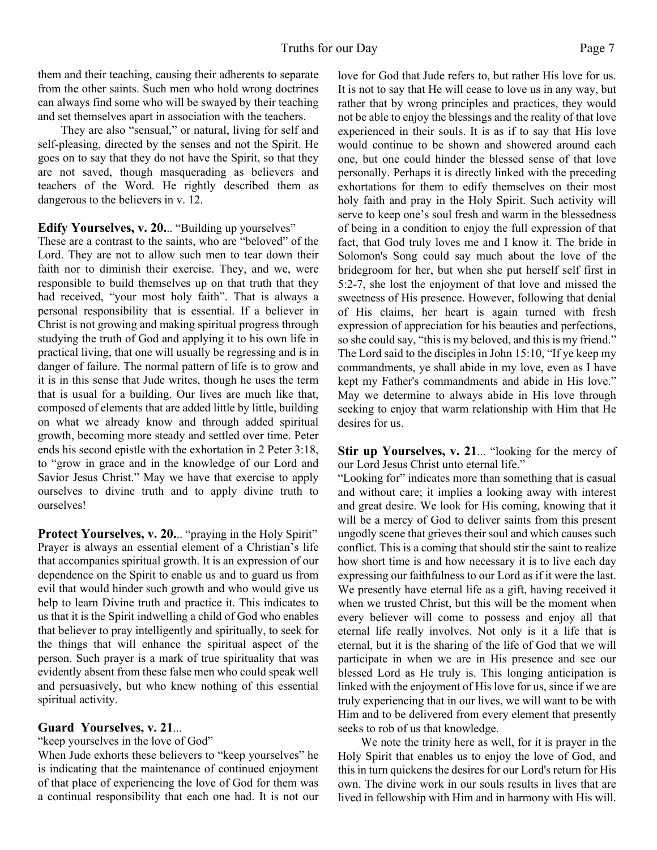them and their teaching, causing their adherents to separate from the other saints. Such men who hold wrong doctrines can always find some who will be swayed by their teaching and set themselves apart in association with the teachers.

 They are also "sensual," or natural, living for self and self-pleasing, directed by the senses and not the Spirit. He goes on to say that they do not have the Spirit, so that they are not saved, though masquerading as believers and teachers of the Word. He rightly described them as dangerous to the believers in v. 12.

**Edify Yourselves, v. 20.**.. "Building up yourselves"

These are a contrast to the saints, who are "beloved" of the Lord. They are not to allow such men to tear down their faith nor to diminish their exercise. They, and we, were responsible to build themselves up on that truth that they had received, "your most holy faith". That is always a personal responsibility that is essential. If a believer in Christ is not growing and making spiritual progress through studying the truth of God and applying it to his own life in practical living, that one will usually be regressing and is in danger of failure. The normal pattern of life is to grow and it is in this sense that Jude writes, though he uses the term that is usual for a building. Our lives are much like that, composed of elements that are added little by little, building on what we already know and through added spiritual growth, becoming more steady and settled over time. Peter ends his second epistle with the exhortation in 2 Peter 3:18, to "grow in grace and in the knowledge of our Lord and Savior Jesus Christ." May we have that exercise to apply ourselves to divine truth and to apply divine truth to ourselves!

Protect Yourselves, v. 20... "praying in the Holy Spirit" Prayer is always an essential element of a Christian's life that accompanies spiritual growth. It is an expression of our dependence on the Spirit to enable us and to guard us from evil that would hinder such growth and who would give us help to learn Divine truth and practice it. This indicates to us that it is the Spirit indwelling a child of God who enables that believer to pray intelligently and spiritually, to seek for the things that will enhance the spiritual aspect of the person. Such prayer is a mark of true spirituality that was evidently absent from these false men who could speak well and persuasively, but who knew nothing of this essential spiritual activity.

# **Guard Yourselves, v. 21**...

"keep yourselves in the love of God"

When Jude exhorts these believers to "keep yourselves" he is indicating that the maintenance of continued enjoyment of that place of experiencing the love of God for them was a continual responsibility that each one had. It is not our love for God that Jude refers to, but rather His love for us. It is not to say that He will cease to love us in any way, but rather that by wrong principles and practices, they would not be able to enjoy the blessings and the reality of that love experienced in their souls. It is as if to say that His love would continue to be shown and showered around each one, but one could hinder the blessed sense of that love personally. Perhaps it is directly linked with the preceding exhortations for them to edify themselves on their most holy faith and pray in the Holy Spirit. Such activity will serve to keep one's soul fresh and warm in the blessedness of being in a condition to enjoy the full expression of that fact, that God truly loves me and I know it. The bride in Solomon's Song could say much about the love of the bridegroom for her, but when she put herself self first in 5:2-7, she lost the enjoyment of that love and missed the sweetness of His presence. However, following that denial of His claims, her heart is again turned with fresh expression of appreciation for his beauties and perfections, so she could say, "this is my beloved, and this is my friend." The Lord said to the disciples in John 15:10, "If ye keep my commandments, ye shall abide in my love, even as I have kept my Father's commandments and abide in His love." May we determine to always abide in His love through seeking to enjoy that warm relationship with Him that He desires for us.

**Stir up Yourselves, v. 21...** "looking for the mercy of our Lord Jesus Christ unto eternal life."

"Looking for" indicates more than something that is casual and without care; it implies a looking away with interest and great desire. We look for His coming, knowing that it will be a mercy of God to deliver saints from this present ungodly scene that grieves their soul and which causes such conflict. This is a coming that should stir the saint to realize how short time is and how necessary it is to live each day expressing our faithfulness to our Lord as if it were the last. We presently have eternal life as a gift, having received it when we trusted Christ, but this will be the moment when every believer will come to possess and enjoy all that eternal life really involves. Not only is it a life that is eternal, but it is the sharing of the life of God that we will participate in when we are in His presence and see our blessed Lord as He truly is. This longing anticipation is linked with the enjoyment of His love for us, since if we are truly experiencing that in our lives, we will want to be with Him and to be delivered from every element that presently seeks to rob of us that knowledge.

 We note the trinity here as well, for it is prayer in the Holy Spirit that enables us to enjoy the love of God, and this in turn quickens the desires for our Lord's return for His own. The divine work in our souls results in lives that are lived in fellowship with Him and in harmony with His will.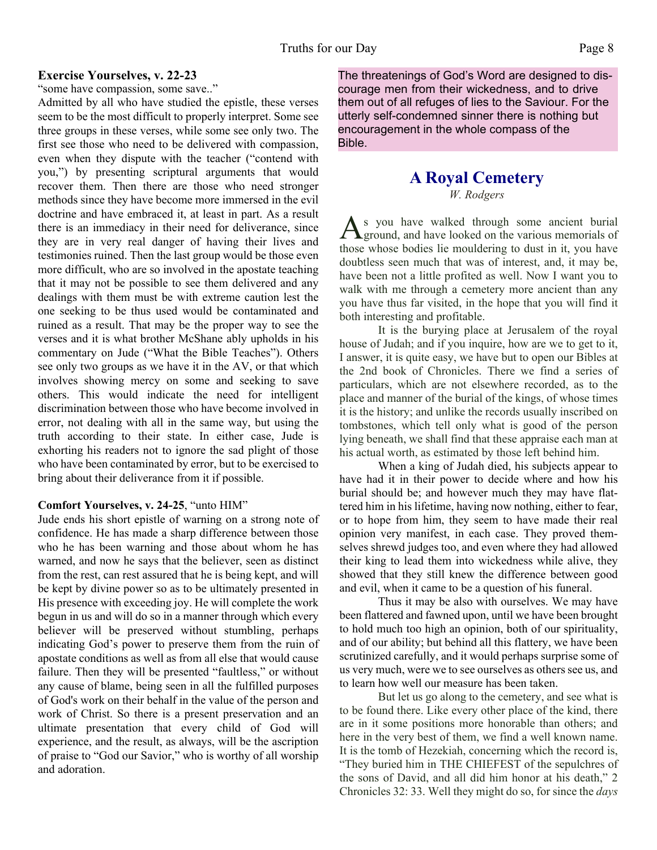#### **Exercise Yourselves, v. 22-23**

"some have compassion, some save.."

Admitted by all who have studied the epistle, these verses seem to be the most difficult to properly interpret. Some see three groups in these verses, while some see only two. The first see those who need to be delivered with compassion, even when they dispute with the teacher ("contend with you,") by presenting scriptural arguments that would recover them. Then there are those who need stronger methods since they have become more immersed in the evil doctrine and have embraced it, at least in part. As a result there is an immediacy in their need for deliverance, since they are in very real danger of having their lives and testimonies ruined. Then the last group would be those even more difficult, who are so involved in the apostate teaching that it may not be possible to see them delivered and any dealings with them must be with extreme caution lest the one seeking to be thus used would be contaminated and ruined as a result. That may be the proper way to see the verses and it is what brother McShane ably upholds in his commentary on Jude ("What the Bible Teaches"). Others see only two groups as we have it in the AV, or that which involves showing mercy on some and seeking to save others. This would indicate the need for intelligent discrimination between those who have become involved in error, not dealing with all in the same way, but using the truth according to their state. In either case, Jude is exhorting his readers not to ignore the sad plight of those who have been contaminated by error, but to be exercised to bring about their deliverance from it if possible.

#### **Comfort Yourselves, v. 24-25**, "unto HIM"

Jude ends his short epistle of warning on a strong note of confidence. He has made a sharp difference between those who he has been warning and those about whom he has warned, and now he says that the believer, seen as distinct from the rest, can rest assured that he is being kept, and will be kept by divine power so as to be ultimately presented in His presence with exceeding joy. He will complete the work begun in us and will do so in a manner through which every believer will be preserved without stumbling, perhaps indicating God's power to preserve them from the ruin of apostate conditions as well as from all else that would cause failure. Then they will be presented "faultless," or without any cause of blame, being seen in all the fulfilled purposes of God's work on their behalf in the value of the person and work of Christ. So there is a present preservation and an ultimate presentation that every child of God will experience, and the result, as always, will be the ascription of praise to "God our Savior," who is worthy of all worship and adoration.

The threatenings of God's Word are designed to discourage men from their wickedness, and to drive them out of all refuges of lies to the Saviour. For the utterly self-condemned sinner there is nothing but encouragement in the whole compass of the Bible.

# **A Royal Cemetery**

*W. Rodgers*

As you have walked through some ancient burial<br>ground, and have looked on the various memorials of ground, and have looked on the various memorials of those whose bodies lie mouldering to dust in it, you have doubtless seen much that was of interest, and, it may be, have been not a little profited as well. Now I want you to walk with me through a cemetery more ancient than any you have thus far visited, in the hope that you will find it both interesting and profitable.

It is the burying place at Jerusalem of the royal house of Judah; and if you inquire, how are we to get to it, I answer, it is quite easy, we have but to open our Bibles at the 2nd book of Chronicles. There we find a series of particulars, which are not elsewhere recorded, as to the place and manner of the burial of the kings, of whose times it is the history; and unlike the records usually inscribed on tombstones, which tell only what is good of the person lying beneath, we shall find that these appraise each man at his actual worth, as estimated by those left behind him.

When a king of Judah died, his subjects appear to have had it in their power to decide where and how his burial should be; and however much they may have flattered him in his lifetime, having now nothing, either to fear, or to hope from him, they seem to have made their real opinion very manifest, in each case. They proved themselves shrewd judges too, and even where they had allowed their king to lead them into wickedness while alive, they showed that they still knew the difference between good and evil, when it came to be a question of his funeral.

Thus it may be also with ourselves. We may have been flattered and fawned upon, until we have been brought to hold much too high an opinion, both of our spirituality, and of our ability; but behind all this flattery, we have been scrutinized carefully, and it would perhaps surprise some of us very much, were we to see ourselves as others see us, and to learn how well our measure has been taken.

But let us go along to the cemetery, and see what is to be found there. Like every other place of the kind, there are in it some positions more honorable than others; and here in the very best of them, we find a well known name. It is the tomb of Hezekiah, concerning which the record is, "They buried him in THE CHIEFEST of the sepulchres of the sons of David, and all did him honor at his death," 2 Chronicles 32: 33. Well they might do so, for since the *days*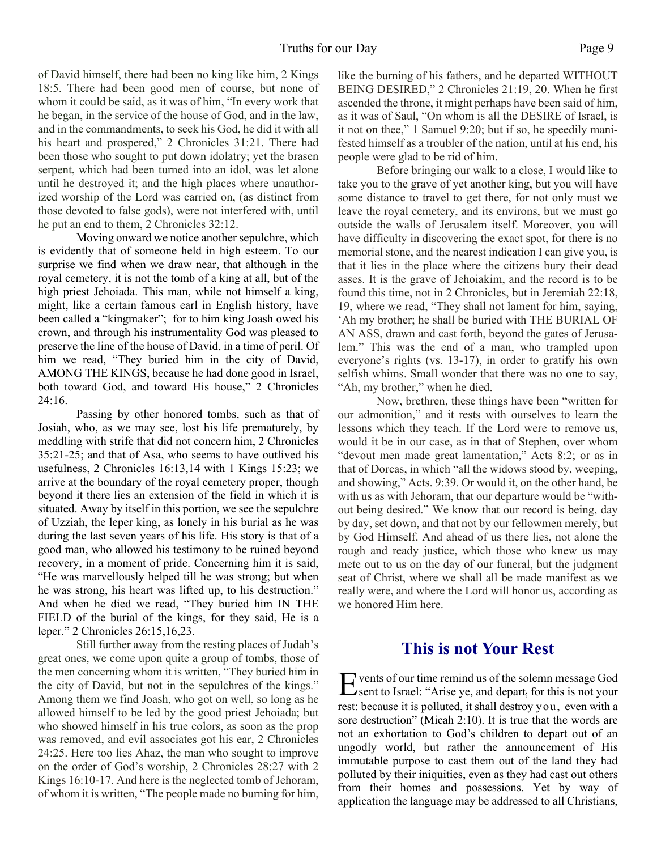of David himself, there had been no king like him, 2 Kings 18:5. There had been good men of course, but none of whom it could be said, as it was of him, "In every work that he began, in the service of the house of God, and in the law, and in the commandments, to seek his God, he did it with all his heart and prospered," 2 Chronicles 31:21. There had been those who sought to put down idolatry; yet the brasen serpent, which had been turned into an idol, was let alone until he destroyed it; and the high places where unauthorized worship of the Lord was carried on, (as distinct from those devoted to false gods), were not interfered with, until he put an end to them, 2 Chronicles 32:12.

Moving onward we notice another sepulchre, which is evidently that of someone held in high esteem. To our surprise we find when we draw near, that although in the royal cemetery, it is not the tomb of a king at all, but of the high priest Jehoiada. This man, while not himself a king, might, like a certain famous earl in English history, have been called a "kingmaker"; for to him king Joash owed his crown, and through his instrumentality God was pleased to preserve the line of the house of David, in a time of peril. Of him we read, "They buried him in the city of David, AMONG THE KINGS, because he had done good in Israel, both toward God, and toward His house," 2 Chronicles 24:16.

Passing by other honored tombs, such as that of Josiah, who, as we may see, lost his life prematurely, by meddling with strife that did not concern him, 2 Chronicles 35:21-25; and that of Asa, who seems to have outlived his usefulness, 2 Chronicles 16:13,14 with 1 Kings 15:23; we arrive at the boundary of the royal cemetery proper, though beyond it there lies an extension of the field in which it is situated. Away by itself in this portion, we see the sepulchre of Uzziah, the leper king, as lonely in his burial as he was during the last seven years of his life. His story is that of a good man, who allowed his testimony to be ruined beyond recovery, in a moment of pride. Concerning him it is said, "He was marvellously helped till he was strong; but when he was strong, his heart was lifted up, to his destruction." And when he died we read, "They buried him IN THE FIELD of the burial of the kings, for they said, He is a leper." 2 Chronicles 26:15,16,23.

Still further away from the resting places of Judah's great ones, we come upon quite a group of tombs, those of the men concerning whom it is written, "They buried him in the city of David, but not in the sepulchres of the kings." Among them we find Joash, who got on well, so long as he allowed himself to be led by the good priest Jehoiada; but who showed himself in his true colors, as soon as the prop was removed, and evil associates got his ear, 2 Chronicles 24:25. Here too lies Ahaz, the man who sought to improve on the order of God's worship, 2 Chronicles 28:27 with 2 Kings 16:10-17. And here is the neglected tomb of Jehoram, of whom it is written, "The people made no burning for him,

like the burning of his fathers, and he departed WITHOUT BEING DESIRED," 2 Chronicles 21:19, 20. When he first ascended the throne, it might perhaps have been said of him, as it was of Saul, "On whom is all the DESIRE of Israel, is it not on thee," 1 Samuel 9:20; but if so, he speedily manifested himself as a troubler of the nation, until at his end, his people were glad to be rid of him.

Before bringing our walk to a close, I would like to take you to the grave of yet another king, but you will have some distance to travel to get there, for not only must we leave the royal cemetery, and its environs, but we must go outside the walls of Jerusalem itself. Moreover, you will have difficulty in discovering the exact spot, for there is no memorial stone, and the nearest indication I can give you, is that it lies in the place where the citizens bury their dead asses. It is the grave of Jehoiakim, and the record is to be found this time, not in 2 Chronicles, but in Jeremiah 22:18, 19, where we read, "They shall not lament for him, saying, 'Ah my brother; he shall be buried with THE BURIAL OF AN ASS, drawn and cast forth, beyond the gates of Jerusalem." This was the end of a man, who trampled upon everyone's rights (vs. 13-17), in order to gratify his own selfish whims. Small wonder that there was no one to say, "Ah, my brother," when he died.

Now, brethren, these things have been "written for our admonition," and it rests with ourselves to learn the lessons which they teach. If the Lord were to remove us, would it be in our case, as in that of Stephen, over whom "devout men made great lamentation," Acts 8:2; or as in that of Dorcas, in which "all the widows stood by, weeping, and showing," Acts. 9:39. Or would it, on the other hand, be with us as with Jehoram, that our departure would be "without being desired." We know that our record is being, day by day, set down, and that not by our fellowmen merely, but by God Himself. And ahead of us there lies, not alone the rough and ready justice, which those who knew us may mete out to us on the day of our funeral, but the judgment seat of Christ, where we shall all be made manifest as we really were, and where the Lord will honor us, according as we honored Him here.

# **This is not Your Rest**

E vents of our time remind us of the solemn message God<br>Sent to Israel: "Arise ye, and depart<sub>;</sub> for this is not your vents of our time remind us of the solemn message God rest: because it is polluted, it shall destroy you, even with a sore destruction" (Micah 2:10). It is true that the words are not an exhortation to God's children to depart out of an ungodly world, but rather the announcement of His immutable purpose to cast them out of the land they had polluted by their iniquities, even as they had cast out others from their homes and possessions. Yet by way of application the language may be addressed to all Christians,